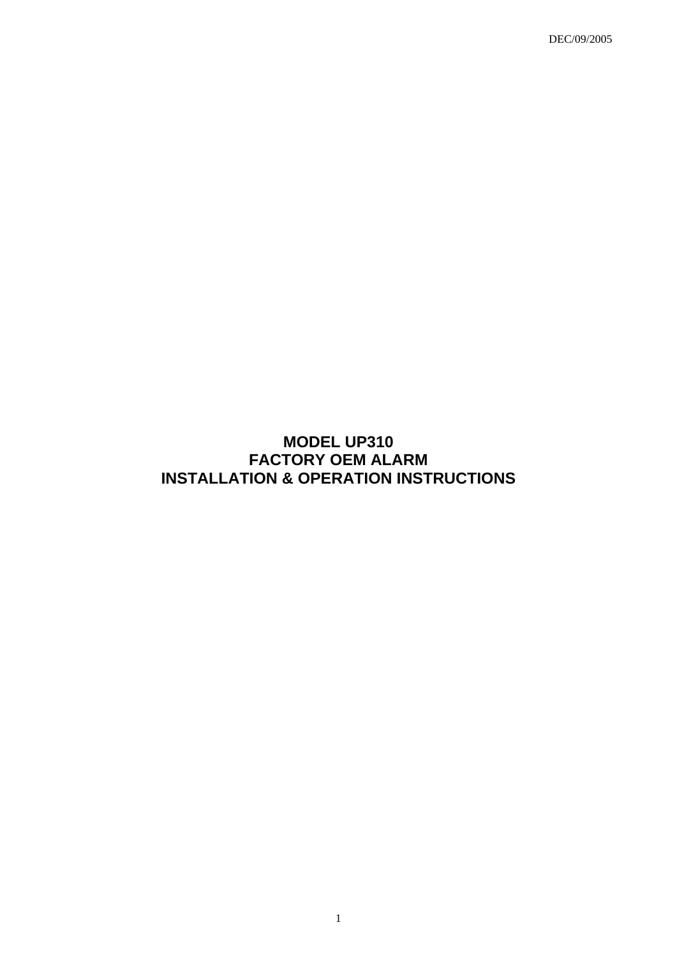DEC/09/2005

# **MODEL UP310 FACTORY OEM ALARM INSTALLATION & OPERATION INSTRUCTIONS**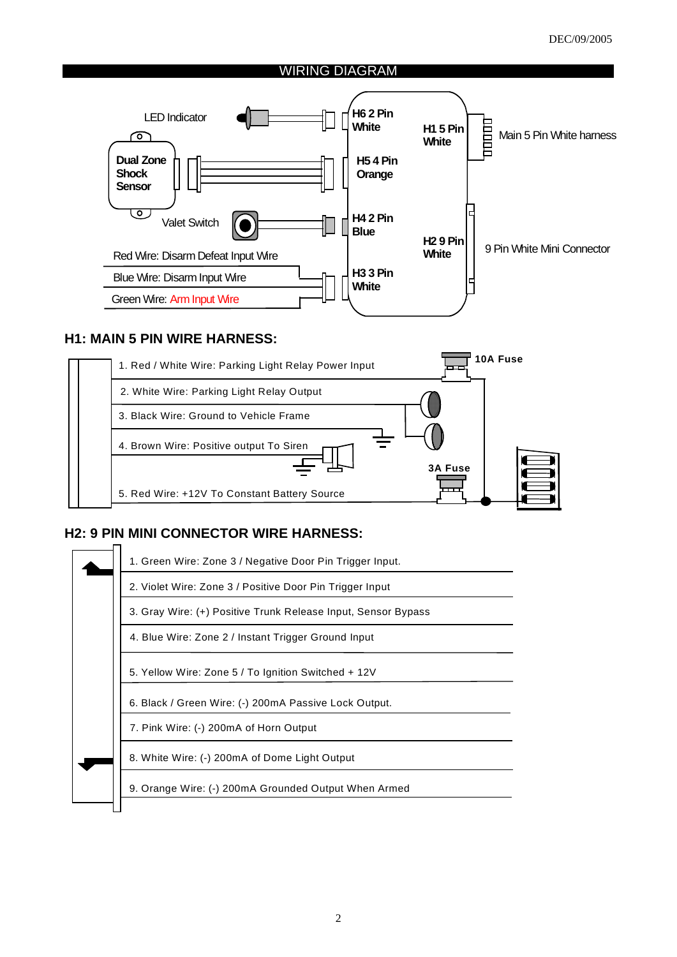## WIRING DIAGRAM



# **H1: MAIN 5 PIN WIRE HARNESS:**



# **H2: 9 PIN MINI CONNECTOR WIRE HARNESS:**

|                                                                                                                           | 1. Green Wire: Zone 3 / Negative Door Pin Trigger Input. |  |  |  |  |  |
|---------------------------------------------------------------------------------------------------------------------------|----------------------------------------------------------|--|--|--|--|--|
| 2. Violet Wire: Zone 3 / Positive Door Pin Trigger Input<br>3. Gray Wire: (+) Positive Trunk Release Input, Sensor Bypass |                                                          |  |  |  |  |  |
|                                                                                                                           |                                                          |  |  |  |  |  |
|                                                                                                                           | 5. Yellow Wire: Zone 5 / To Ignition Switched + 12V      |  |  |  |  |  |
| 6. Black / Green Wire: (-) 200mA Passive Lock Output.                                                                     |                                                          |  |  |  |  |  |
|                                                                                                                           | 7. Pink Wire: (-) 200mA of Horn Output                   |  |  |  |  |  |
|                                                                                                                           | 8. White Wire: (-) 200mA of Dome Light Output            |  |  |  |  |  |
|                                                                                                                           | 9. Orange Wire: (-) 200mA Grounded Output When Armed     |  |  |  |  |  |
|                                                                                                                           |                                                          |  |  |  |  |  |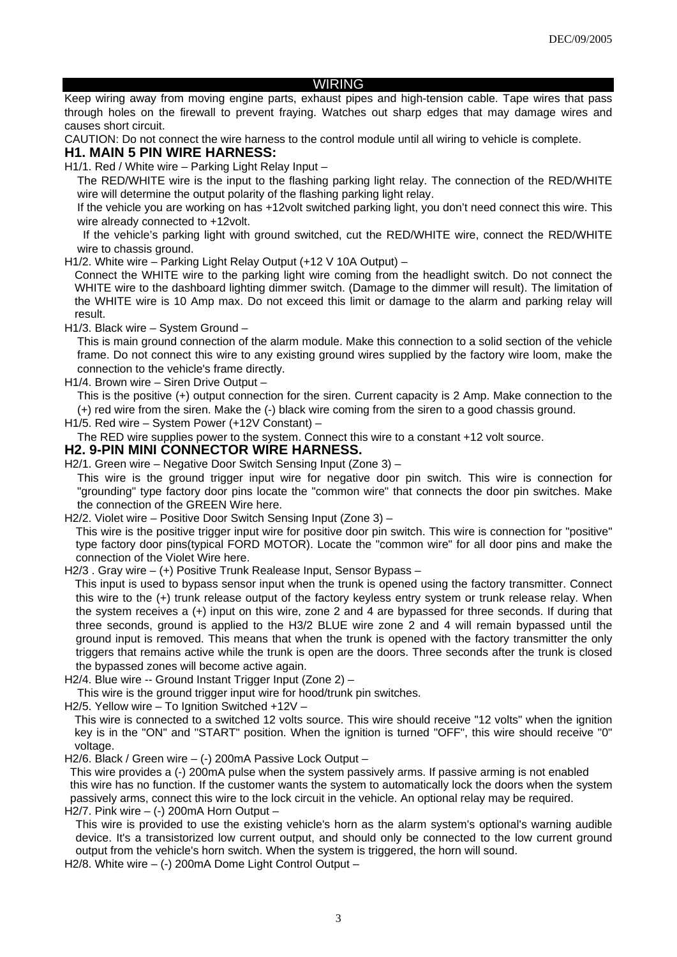#### WIRING

Keep wiring away from moving engine parts, exhaust pipes and high-tension cable. Tape wires that pass through holes on the firewall to prevent fraying. Watches out sharp edges that may damage wires and causes short circuit.

CAUTION: Do not connect the wire harness to the control module until all wiring to vehicle is complete.

#### **H1. MAIN 5 PIN WIRE HARNESS:**

H1/1. Red / White wire – Parking Light Relay Input –

The RED/WHITE wire is the input to the flashing parking light relay. The connection of the RED/WHITE wire will determine the output polarity of the flashing parking light relay.

If the vehicle you are working on has +12volt switched parking light, you don't need connect this wire. This wire already connected to +12volt.

 If the vehicle's parking light with ground switched, cut the RED/WHITE wire, connect the RED/WHITE wire to chassis ground.

H1/2. White wire – Parking Light Relay Output (+12 V 10A Output) –

Connect the WHITE wire to the parking light wire coming from the headlight switch. Do not connect the WHITE wire to the dashboard lighting dimmer switch. (Damage to the dimmer will result). The limitation of the WHITE wire is 10 Amp max. Do not exceed this limit or damage to the alarm and parking relay will result.

H1/3. Black wire – System Ground –

This is main ground connection of the alarm module. Make this connection to a solid section of the vehicle frame. Do not connect this wire to any existing ground wires supplied by the factory wire loom, make the connection to the vehicle's frame directly.

H1/4. Brown wire – Siren Drive Output –

This is the positive (+) output connection for the siren. Current capacity is 2 Amp. Make connection to the (+) red wire from the siren. Make the (-) black wire coming from the siren to a good chassis ground.

H1/5. Red wire – System Power (+12V Constant) –

The RED wire supplies power to the system. Connect this wire to a constant +12 volt source.

#### **H2. 9-PIN MINI CONNECTOR WIRE HARNESS.**

H2/1. Green wire – Negative Door Switch Sensing Input (Zone 3) –

This wire is the ground trigger input wire for negative door pin switch. This wire is connection for "grounding" type factory door pins locate the "common wire" that connects the door pin switches. Make the connection of the GREEN Wire here.

H2/2. Violet wire – Positive Door Switch Sensing Input (Zone 3) –

This wire is the positive trigger input wire for positive door pin switch. This wire is connection for "positive" type factory door pins(typical FORD MOTOR). Locate the "common wire" for all door pins and make the connection of the Violet Wire here.

H2/3 . Gray wire – (+) Positive Trunk Realease Input, Sensor Bypass –

 This input is used to bypass sensor input when the trunk is opened using the factory transmitter. Connect this wire to the (+) trunk release output of the factory keyless entry system or trunk release relay. When the system receives a (+) input on this wire, zone 2 and 4 are bypassed for three seconds. If during that three seconds, ground is applied to the H3/2 BLUE wire zone 2 and 4 will remain bypassed until the ground input is removed. This means that when the trunk is opened with the factory transmitter the only triggers that remains active while the trunk is open are the doors. Three seconds after the trunk is closed the bypassed zones will become active again.

H2/4. Blue wire -- Ground Instant Trigger Input (Zone 2) –

This wire is the ground trigger input wire for hood/trunk pin switches.

H2/5. Yellow wire – To Ignition Switched +12V –

This wire is connected to a switched 12 volts source. This wire should receive "12 volts" when the ignition key is in the "ON" and "START" position. When the ignition is turned "OFF", this wire should receive "0" voltage.

H2/6. Black / Green wire – (-) 200mA Passive Lock Output –

 This wire provides a (-) 200mA pulse when the system passively arms. If passive arming is not enabled this wire has no function. If the customer wants the system to automatically lock the doors when the system passively arms, connect this wire to the lock circuit in the vehicle. An optional relay may be required.

H2/7. Pink wire  $-$  (-) 200mA Horn Output  $-$ 

This wire is provided to use the existing vehicle's horn as the alarm system's optional's warning audible device. It's a transistorized low current output, and should only be connected to the low current ground output from the vehicle's horn switch. When the system is triggered, the horn will sound.

H2/8. White wire – (-) 200mA Dome Light Control Output –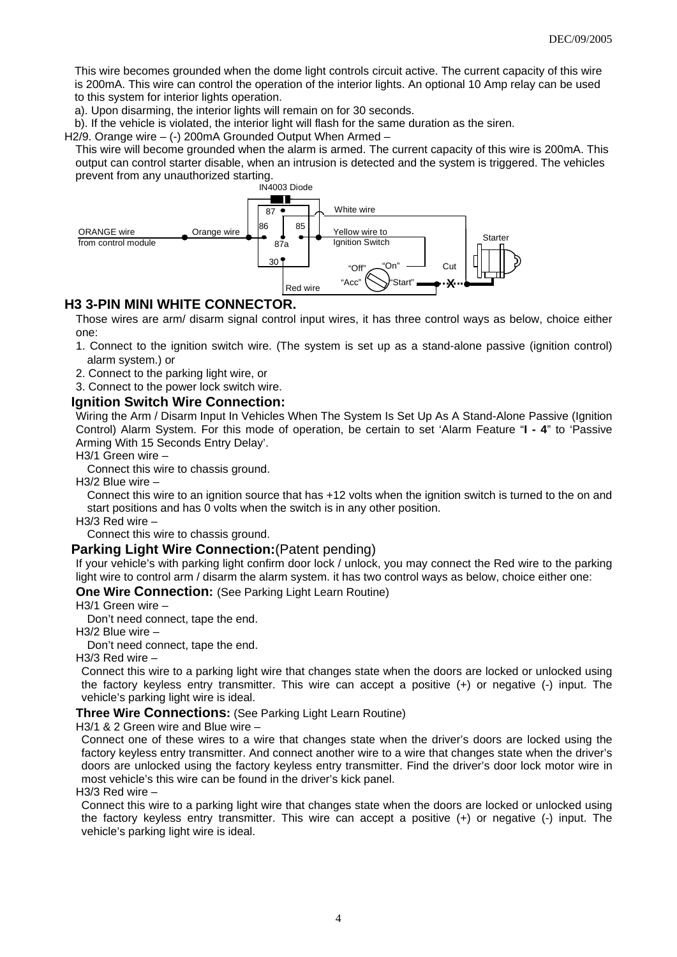This wire becomes grounded when the dome light controls circuit active. The current capacity of this wire is 200mA. This wire can control the operation of the interior lights. An optional 10 Amp relay can be used to this system for interior lights operation.

a). Upon disarming, the interior lights will remain on for 30 seconds.

b). If the vehicle is violated, the interior light will flash for the same duration as the siren.

H2/9. Orange wire – (-) 200mA Grounded Output When Armed –

This wire will become grounded when the alarm is armed. The current capacity of this wire is 200mA. This output can control starter disable, when an intrusion is detected and the system is triggered. The vehicles prevent from any unauthorized starting.



#### **H3 3-PIN MINI WHITE CONNECTOR.**

Those wires are arm/ disarm signal control input wires, it has three control ways as below, choice either one:

- 1. Connect to the ignition switch wire. (The system is set up as a stand-alone passive (ignition control) alarm system.) or
- 2. Connect to the parking light wire, or
- 3. Connect to the power lock switch wire.

#### **Ignition Switch Wire Connection:**

Wiring the Arm / Disarm Input In Vehicles When The System Is Set Up As A Stand-Alone Passive (Ignition Control) Alarm System. For this mode of operation, be certain to set 'Alarm Feature "**I - 4**" to 'Passive Arming With 15 Seconds Entry Delay'.

H3/1 Green wire –

Connect this wire to chassis ground.

H3/2 Blue wire –

Connect this wire to an ignition source that has +12 volts when the ignition switch is turned to the on and start positions and has 0 volts when the switch is in any other position.

H3/3 Red wire –

Connect this wire to chassis ground.

#### **Parking Light Wire Connection:**(Patent pending)

If your vehicle's with parking light confirm door lock / unlock, you may connect the Red wire to the parking light wire to control arm / disarm the alarm system. it has two control ways as below, choice either one:

#### **One Wire Connection:** (See Parking Light Learn Routine)

H3/1 Green wire –

Don't need connect, tape the end.

H3/2 Blue wire –

Don't need connect, tape the end.

H3/3 Red wire –

 Connect this wire to a parking light wire that changes state when the doors are locked or unlocked using the factory keyless entry transmitter. This wire can accept a positive (+) or negative (-) input. The vehicle's parking light wire is ideal.

**Three Wire Connections:** (See Parking Light Learn Routine)

H3/1 & 2 Green wire and Blue wire –

Connect one of these wires to a wire that changes state when the driver's doors are locked using the factory keyless entry transmitter. And connect another wire to a wire that changes state when the driver's doors are unlocked using the factory keyless entry transmitter. Find the driver's door lock motor wire in most vehicle's this wire can be found in the driver's kick panel.

H3/3 Red wire –

 Connect this wire to a parking light wire that changes state when the doors are locked or unlocked using the factory keyless entry transmitter. This wire can accept a positive (+) or negative (-) input. The vehicle's parking light wire is ideal.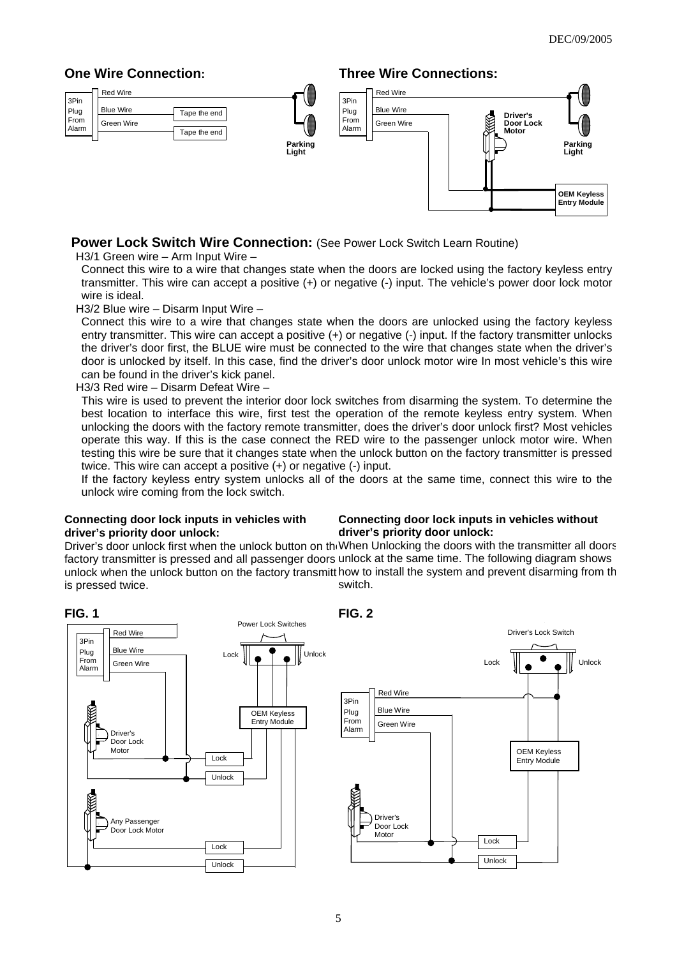# **One Wire Connection:**



# **Three Wire Connections:**



# **Power Lock Switch Wire Connection: (See Power Lock Switch Learn Routine)**

H3/1 Green wire – Arm Input Wire –

 Connect this wire to a wire that changes state when the doors are locked using the factory keyless entry transmitter. This wire can accept a positive (+) or negative (-) input. The vehicle's power door lock motor wire is ideal.

H3/2 Blue wire – Disarm Input Wire –

Connect this wire to a wire that changes state when the doors are unlocked using the factory keyless entry transmitter. This wire can accept a positive (+) or negative (-) input. If the factory transmitter unlocks the driver's door first, the BLUE wire must be connected to the wire that changes state when the driver's door is unlocked by itself. In this case, find the driver's door unlock motor wire In most vehicle's this wire can be found in the driver's kick panel.

H3/3 Red wire – Disarm Defeat Wire –

 This wire is used to prevent the interior door lock switches from disarming the system. To determine the best location to interface this wire, first test the operation of the remote keyless entry system. When unlocking the doors with the factory remote transmitter, does the driver's door unlock first? Most vehicles operate this way. If this is the case connect the RED wire to the passenger unlock motor wire. When testing this wire be sure that it changes state when the unlock button on the factory transmitter is pressed twice. This wire can accept a positive (+) or negative (-) input.

If the factory keyless entry system unlocks all of the doors at the same time, connect this wire to the unlock wire coming from the lock switch.

#### **Connecting door lock inputs in vehicles with driver's priority door unlock:**

#### **Connecting door lock inputs in vehicles without driver's priority door unlock:**

Driver's door unlock first when the unlock button on th<sub>'</sub>When Unlocking the doors with the transmitter all doors factory transmitter is pressed and all passenger doors unlock at the same time. The following diagram shows unlock when the unlock button on the factory transmitt how to install the system and prevent disarming from th is pressed twice. switch.

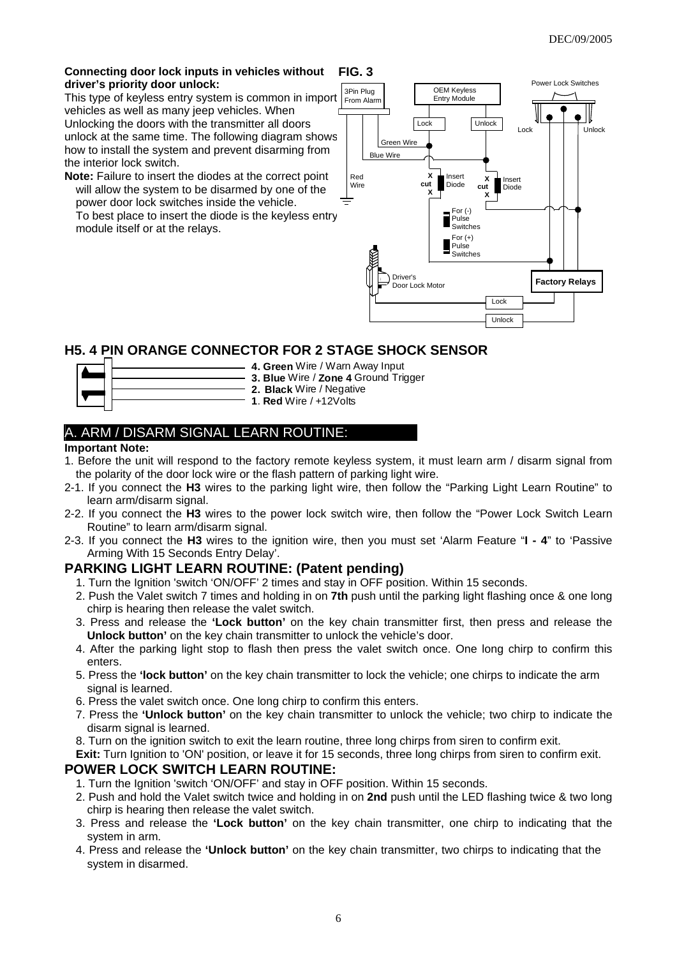#### **Connecting door lock inputs in vehicles without driver's priority door unlock: FIG. 3**

This type of keyless entry system is common in import vehicles as well as many jeep vehicles. When Unlocking the doors with the transmitter all doors unlock at the same time. The following diagram shows how to install the system and prevent disarming from the interior lock switch.

**Note:** Failure to insert the diodes at the correct point will allow the system to be disarmed by one of the power door lock switches inside the vehicle. To best place to insert the diode is the keyless entry module itself or at the relays.



# **H5. 4 PIN ORANGE CONNECTOR FOR 2 STAGE SHOCK SENSOR**



- **4. Green** Wire / Warn Away Input **3. Blue** Wire / **Zone 4** Ground Trigger
- **2. Black** Wire / Negative
- **1**. **Red** Wire / +12Volts

# A. ARM / DISARM SIGNAL LEARN ROUTINE:

#### **Important Note:**

- 1. Before the unit will respond to the factory remote keyless system, it must learn arm / disarm signal from the polarity of the door lock wire or the flash pattern of parking light wire.
- 2-1. If you connect the **H3** wires to the parking light wire, then follow the "Parking Light Learn Routine" to learn arm/disarm signal.
- 2-2. If you connect the **H3** wires to the power lock switch wire, then follow the "Power Lock Switch Learn Routine" to learn arm/disarm signal.
- 2-3. If you connect the **H3** wires to the ignition wire, then you must set 'Alarm Feature "**I 4**" to 'Passive Arming With 15 Seconds Entry Delay'.

# **PARKING LIGHT LEARN ROUTINE: (Patent pending)**

- 1. Turn the Ignition 'switch 'ON/OFF' 2 times and stay in OFF position. Within 15 seconds.
- 2. Push the Valet switch 7 times and holding in on **7th** push until the parking light flashing once & one long chirp is hearing then release the valet switch.
- 3. Press and release the **'Lock button'** on the key chain transmitter first, then press and release the **Unlock button'** on the key chain transmitter to unlock the vehicle's door.
- 4. After the parking light stop to flash then press the valet switch once. One long chirp to confirm this enters.
- 5. Press the **'lock button'** on the key chain transmitter to lock the vehicle; one chirps to indicate the arm signal is learned.
- 6. Press the valet switch once. One long chirp to confirm this enters.
- 7. Press the **'Unlock button'** on the key chain transmitter to unlock the vehicle; two chirp to indicate the disarm signal is learned.
- 8. Turn on the ignition switch to exit the learn routine, three long chirps from siren to confirm exit.

**Exit:** Turn Ignition to 'ON' position, or leave it for 15 seconds, three long chirps from siren to confirm exit. **POWER LOCK SWITCH LEARN ROUTINE:** 

- 1. Turn the Ignition 'switch 'ON/OFF' and stay in OFF position. Within 15 seconds.
- 2. Push and hold the Valet switch twice and holding in on **2nd** push until the LED flashing twice & two long chirp is hearing then release the valet switch.
- 3. Press and release the **'Lock button'** on the key chain transmitter, one chirp to indicating that the system in arm.
- 4. Press and release the **'Unlock button'** on the key chain transmitter, two chirps to indicating that the system in disarmed.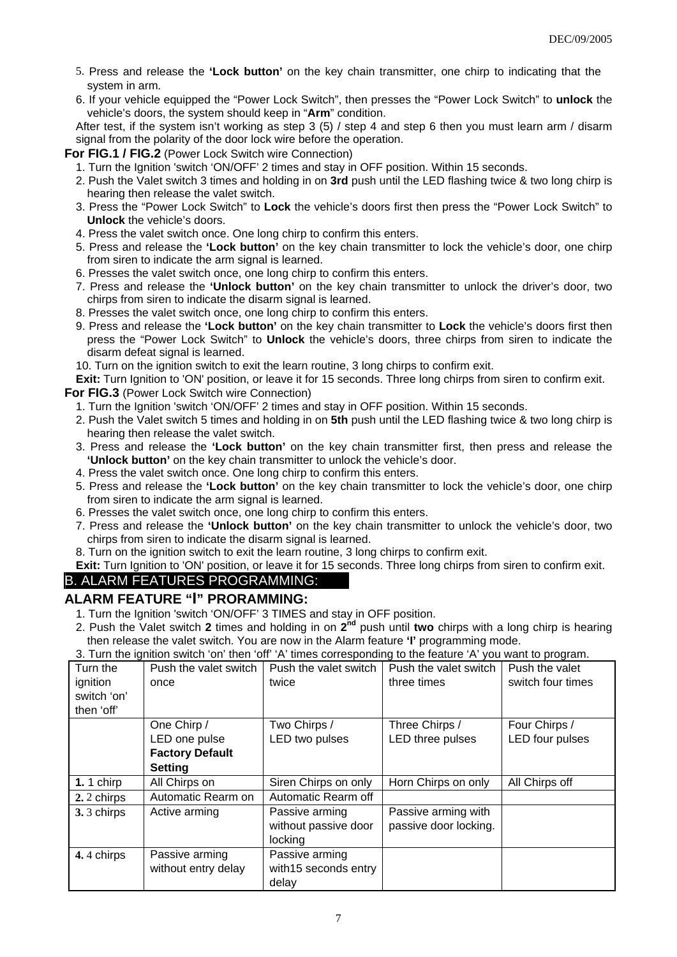- 5. Press and release the **'Lock button'** on the key chain transmitter, one chirp to indicating that the system in arm.
- 6. If your vehicle equipped the "Power Lock Switch", then presses the "Power Lock Switch" to **unlock** the vehicle's doors, the system should keep in "**Arm**" condition.

After test, if the system isn't working as step 3 (5) / step 4 and step 6 then you must learn arm / disarm signal from the polarity of the door lock wire before the operation.

**For FIG.1 / FIG.2** (Power Lock Switch wire Connection)

- 1. Turn the Ignition 'switch 'ON/OFF' 2 times and stay in OFF position. Within 15 seconds.
- 2. Push the Valet switch 3 times and holding in on **3rd** push until the LED flashing twice & two long chirp is hearing then release the valet switch.
- 3. Press the "Power Lock Switch" to **Lock** the vehicle's doors first then press the "Power Lock Switch" to **Unlock** the vehicle's doors.
- 4. Press the valet switch once. One long chirp to confirm this enters.
- 5. Press and release the **'Lock button'** on the key chain transmitter to lock the vehicle's door, one chirp from siren to indicate the arm signal is learned.
- 6. Presses the valet switch once, one long chirp to confirm this enters.
- 7. Press and release the **'Unlock button'** on the key chain transmitter to unlock the driver's door, two chirps from siren to indicate the disarm signal is learned.
- 8. Presses the valet switch once, one long chirp to confirm this enters.
- 9. Press and release the **'Lock button'** on the key chain transmitter to **Lock** the vehicle's doors first then press the "Power Lock Switch" to **Unlock** the vehicle's doors, three chirps from siren to indicate the disarm defeat signal is learned.

10. Turn on the ignition switch to exit the learn routine, 3 long chirps to confirm exit.

**Exit:** Turn Ignition to 'ON' position, or leave it for 15 seconds. Three long chirps from siren to confirm exit.

**For FIG.3** (Power Lock Switch wire Connection)

- 1. Turn the Ignition 'switch 'ON/OFF' 2 times and stay in OFF position. Within 15 seconds.
- 2. Push the Valet switch 5 times and holding in on **5th** push until the LED flashing twice & two long chirp is hearing then release the valet switch.
- 3. Press and release the **'Lock button'** on the key chain transmitter first, then press and release the **'Unlock button'** on the key chain transmitter to unlock the vehicle's door.
- 4. Press the valet switch once. One long chirp to confirm this enters.
- 5. Press and release the **'Lock button'** on the key chain transmitter to lock the vehicle's door, one chirp from siren to indicate the arm signal is learned.
- 6. Presses the valet switch once, one long chirp to confirm this enters.
- 7. Press and release the **'Unlock button'** on the key chain transmitter to unlock the vehicle's door, two chirps from siren to indicate the disarm signal is learned.
- 8. Turn on the ignition switch to exit the learn routine, 3 long chirps to confirm exit.
- **Exit:** Turn Ignition to 'ON' position, or leave it for 15 seconds. Three long chirps from siren to confirm exit.

# B. ALARM FEATURES PROGRAMMING:

# **ALARM FEATURE "I" PRORAMMING:**

- 1. Turn the Ignition 'switch 'ON/OFF' 3 TIMES and stay in OFF position.
- 2. Push the Valet switch **2** times and holding in on **2nd** push until **two** chirps with a long chirp is hearing then release the valet switch. You are now in the Alarm feature **'I'** programming mode.

Turn the ignition switch 'on' then 'off' Push the valet switch once Push the valet switch twice Push the valet switch three times Push the valet switch four times One Chirp / LED one pulse **Factory Default Setting** Two Chirps / LED two pulses Three Chirps / LED three pulses Four Chirps / LED four pulses **1.** 1 chirp All Chirps on Siren Chirps on only | Horn Chirps on only | All Chirps off **2.** 2 chirps | Automatic Rearm on | Automatic Rearm off **3.** 3 chirps Active arming Passive arming without passive door locking Passive arming with passive door locking. **4.** 4 chirps | Passive arming without entry delay Passive arming with15 seconds entry delay

3. Turn the ignition switch 'on' then 'off' 'A' times corresponding to the feature 'A' you want to program.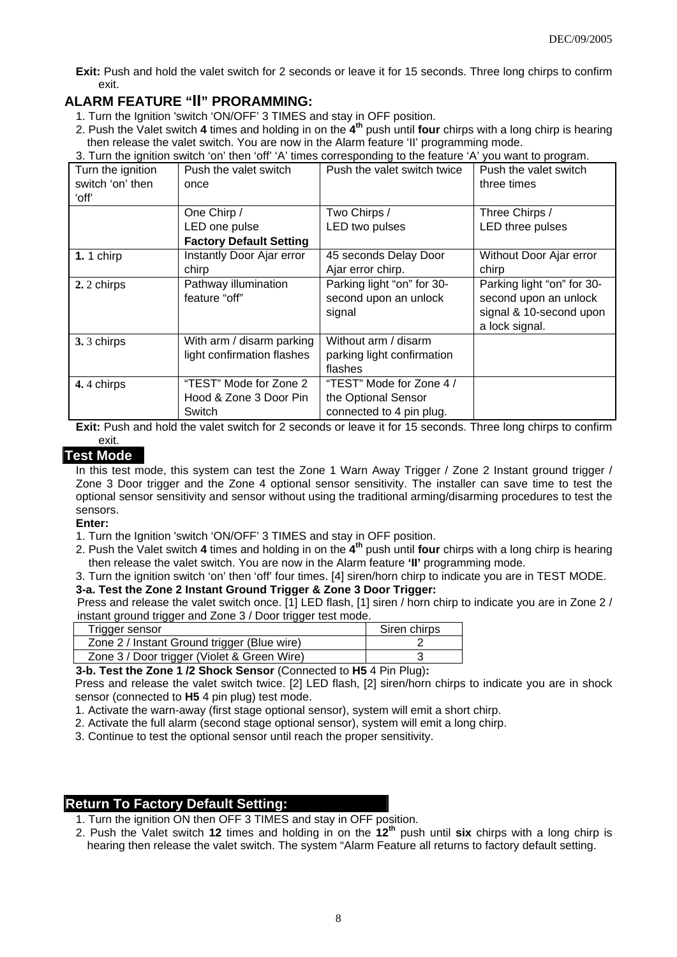**Exit:** Push and hold the valet switch for 2 seconds or leave it for 15 seconds. Three long chirps to confirm exit.

# **ALARM FEATURE "II" PRORAMMING:**

- 1. Turn the Ignition 'switch 'ON/OFF' 3 TIMES and stay in OFF position.
- 2. Push the Valet switch **4** times and holding in on the **4th** push until **four** chirps with a long chirp is hearing then release the valet switch. You are now in the Alarm feature 'II' programming mode.
- 3. Turn the ignition switch 'on' then 'off' 'A' times corresponding to the feature 'A' you want to program.

| Turn the ignition | Push the valet switch          | Push the valet switch twice | Push the valet switch      |
|-------------------|--------------------------------|-----------------------------|----------------------------|
| switch 'on' then  | once                           |                             | three times                |
| ʻoff'             |                                |                             |                            |
|                   | One Chirp /                    | Two Chirps /                | Three Chirps /             |
|                   | LED one pulse                  | LED two pulses              | LED three pulses           |
|                   | <b>Factory Default Setting</b> |                             |                            |
| 1.1 chirp         | Instantly Door Ajar error      | 45 seconds Delay Door       | Without Door Ajar error    |
|                   | chirp                          | Ajar error chirp.           | chirp                      |
| 2. 2 chirps       | Pathway illumination           | Parking light "on" for 30-  | Parking light "on" for 30- |
|                   | feature "off"                  | second upon an unlock       | second upon an unlock      |
|                   |                                | signal                      | signal & 10-second upon    |
|                   |                                |                             | a lock signal.             |
| 3.3 chirps        | With arm / disarm parking      | Without arm / disarm        |                            |
|                   | light confirmation flashes     | parking light confirmation  |                            |
|                   |                                | flashes                     |                            |
| 4.4 chirps        | "TEST" Mode for Zone 2         | "TEST" Mode for Zone 4 /    |                            |
|                   | Hood & Zone 3 Door Pin         | the Optional Sensor         |                            |
|                   | Switch                         | connected to 4 pin plug.    |                            |

**Exit:** Push and hold the valet switch for 2 seconds or leave it for 15 seconds. Three long chirps to confirm exit.

## **Test Mode**

In this test mode, this system can test the Zone 1 Warn Away Trigger / Zone 2 Instant ground trigger / Zone 3 Door trigger and the Zone 4 optional sensor sensitivity. The installer can save time to test the optional sensor sensitivity and sensor without using the traditional arming/disarming procedures to test the sensors.

#### **Enter:**

- 1. Turn the Ignition 'switch 'ON/OFF' 3 TIMES and stay in OFF position.
- 2. Push the Valet switch **4** times and holding in on the **4th** push until **four** chirps with a long chirp is hearing then release the valet switch. You are now in the Alarm feature **'II'** programming mode.
- 3. Turn the ignition switch 'on' then 'off' four times. [4] siren/horn chirp to indicate you are in TEST MODE.

# **3-a. Test the Zone 2 Instant Ground Trigger & Zone 3 Door Trigger:**

Press and release the valet switch once. [1] LED flash, [1] siren / horn chirp to indicate you are in Zone 2 / instant ground trigger and Zone 3 / Door trigger test mode.

| Trigger sensor                              | Siren chirps |
|---------------------------------------------|--------------|
| Zone 2 / Instant Ground trigger (Blue wire) |              |
| Zone 3 / Door trigger (Violet & Green Wire) |              |

**3-b. Test the Zone 1 /2 Shock Sensor** (Connected to **H5** 4 Pin Plug)**:** 

Press and release the valet switch twice. [2] LED flash, [2] siren/horn chirps to indicate you are in shock sensor (connected to **H5** 4 pin plug) test mode.

1. Activate the warn-away (first stage optional sensor), system will emit a short chirp.

2. Activate the full alarm (second stage optional sensor), system will emit a long chirp.

3. Continue to test the optional sensor until reach the proper sensitivity.

#### **Return To Factory Default Setting:**

1. Turn the ignition ON then OFF 3 TIMES and stay in OFF position.

2. Push the Valet switch **12** times and holding in on the **12th** push until **six** chirps with a long chirp is hearing then release the valet switch. The system "Alarm Feature all returns to factory default setting.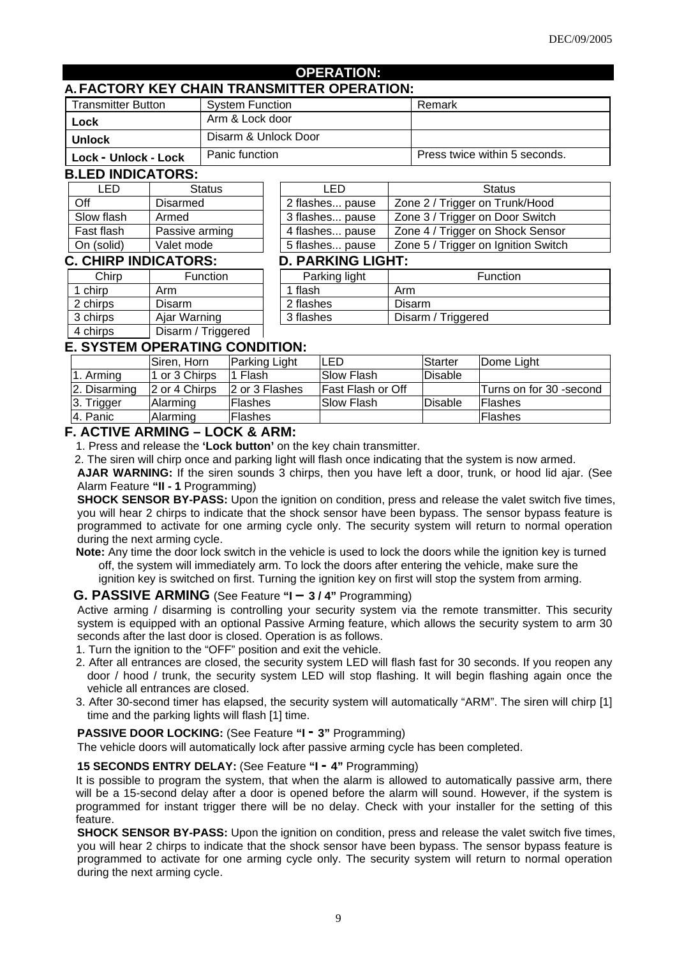#### **OPERATION:**

## **A. FACTORY KEY CHAIN TRANSMITTER OPERATION:**

| <b>Transmitter Button</b> | <b>System Function</b> | Remark                        |
|---------------------------|------------------------|-------------------------------|
| Lock                      | Arm & Lock door        |                               |
| Unlock                    | Disarm & Unlock Door   |                               |
| Lock - Unlock - Lock      | Panic function         | Press twice within 5 seconds. |

#### **B.LED INDICATORS:**

| 9. EED INDIVATOINU. |                |  |  |
|---------------------|----------------|--|--|
| I FD                | <b>Status</b>  |  |  |
| Off                 | Disarmed       |  |  |
| Slow flash          | Armed          |  |  |
| Fast flash          | Passive arming |  |  |
| On (solid)          | Valet mode     |  |  |
|                     |                |  |  |

| LED                 | <b>Status</b>   | LED                      | <b>Status</b>                       |
|---------------------|-----------------|--------------------------|-------------------------------------|
| Off                 | <b>Disarmed</b> | 2 flashes pause          | Zone 2 / Trigger on Trunk/Hood      |
| Slow flash          | Armed           | 3 flashes pause          | Zone 3 / Trigger on Door Switch     |
| Fast flash          | Passive arming  | 4 flashes pause          | Zone 4 / Trigger on Shock Sensor    |
| On (solid)          | Valet mode      | 5 flashes pause          | Zone 5 / Trigger on Ignition Switch |
| . CHIRP INDICATORS: |                 | <b>D. PARKING LIGHT:</b> |                                     |
| Chirp               | <b>Function</b> | Parking light            | Function                            |
| .                   |                 | $\blacksquare$           |                                     |

#### **C. CHIRP INDICATORS:**

| Chirp    | <b>Function</b>    | Parking light |        |
|----------|--------------------|---------------|--------|
| 1 chirp  | Arm                | 1 flash       | Arm    |
| 2 chirps | Disarm             | 2 flashes     | Disarm |
| 3 chirps | Ajar Warning       | 3 flashes     | Disarm |
| 4 chirps | Disarm / Triggered |               |        |

| . CHIRP INDICATORS: |                 | <b>D. PARKING LIGHT:</b> |                    |  |
|---------------------|-----------------|--------------------------|--------------------|--|
| Chirp               | <b>Function</b> | Parking light            | <b>Function</b>    |  |
| 1 chirp             | Arm             | ' flash                  | Arm                |  |
| 2 chirps            | Disarm          | 2 flashes                | Disarm             |  |
| 3 chirps            | Ajar Warning    | 3 flashes                | Disarm / Triggered |  |
|                     |                 |                          |                    |  |

# **E. SYSTEM OPERATING CONDITION:**

|              | Siren, Horn   | Parking Light  | ILED                     | Starter         | Dome Light               |
|--------------|---------------|----------------|--------------------------|-----------------|--------------------------|
| 1. Arming    | 1 or 3 Chirps | Flash          | <b>Slow Flash</b>        | <b>Disable</b>  |                          |
| 2. Disarming | 2 or 4 Chirps | 2 or 3 Flashes | <b>Fast Flash or Off</b> |                 | lTurns on for 30 -second |
| 3. Trigger   | lAlarming     | <b>Flashes</b> | <b>ISlow Flash</b>       | <b>IDisable</b> | <b>IFlashes</b>          |
| 4. Panic     | Alarming      | <b>Flashes</b> |                          |                 | <b>IFlashes</b>          |

## **F. ACTIVE ARMING – LOCK & ARM:**

1. Press and release the **'Lock button'** on the key chain transmitter.

2. The siren will chirp once and parking light will flash once indicating that the system is now armed.

**AJAR WARNING:** If the siren sounds 3 chirps, then you have left a door, trunk, or hood lid ajar. (See Alarm Feature **"II - 1** Programming)

**SHOCK SENSOR BY-PASS:** Upon the ignition on condition, press and release the valet switch five times, you will hear 2 chirps to indicate that the shock sensor have been bypass. The sensor bypass feature is programmed to activate for one arming cycle only. The security system will return to normal operation during the next arming cycle.

**Note:** Any time the door lock switch in the vehicle is used to lock the doors while the ignition key is turned off, the system will immediately arm. To lock the doors after entering the vehicle, make sure the ignition key is switched on first. Turning the ignition key on first will stop the system from arming.

**G. PASSIVE ARMING** (See Feature **"I – 3 / 4"** Programming)

Active arming / disarming is controlling your security system via the remote transmitter. This security system is equipped with an optional Passive Arming feature, which allows the security system to arm 30 seconds after the last door is closed. Operation is as follows.

1. Turn the ignition to the "OFF" position and exit the vehicle.

- 2. After all entrances are closed, the security system LED will flash fast for 30 seconds. If you reopen any door / hood / trunk, the security system LED will stop flashing. It will begin flashing again once the vehicle all entrances are closed.
- 3. After 30-second timer has elapsed, the security system will automatically "ARM". The siren will chirp [1] time and the parking lights will flash [1] time.

#### **PASSIVE DOOR LOCKING:** (See Feature **"I - 3"** Programming)

The vehicle doors will automatically lock after passive arming cycle has been completed.

#### **15 SECONDS ENTRY DELAY:** (See Feature **"I - 4"** Programming)

It is possible to program the system, that when the alarm is allowed to automatically passive arm, there will be a 15-second delay after a door is opened before the alarm will sound. However, if the system is programmed for instant trigger there will be no delay. Check with your installer for the setting of this feature.

**SHOCK SENSOR BY-PASS:** Upon the ignition on condition, press and release the valet switch five times, you will hear 2 chirps to indicate that the shock sensor have been bypass. The sensor bypass feature is programmed to activate for one arming cycle only. The security system will return to normal operation during the next arming cycle.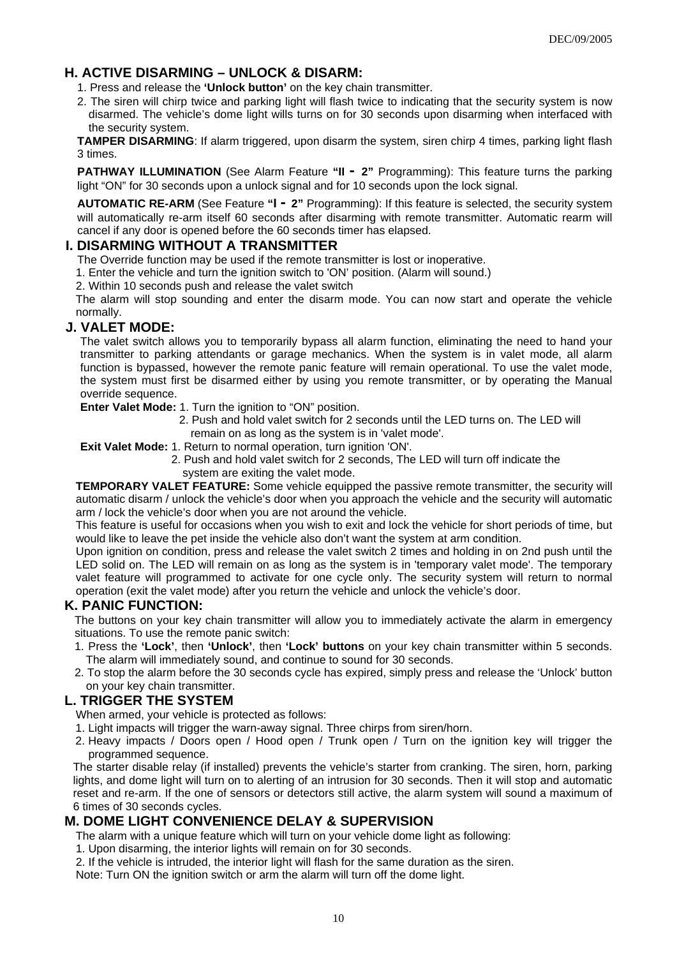# **H. ACTIVE DISARMING – UNLOCK & DISARM:**

- 1. Press and release the **'Unlock button'** on the key chain transmitter.
- 2. The siren will chirp twice and parking light will flash twice to indicating that the security system is now disarmed. The vehicle's dome light wills turns on for 30 seconds upon disarming when interfaced with the security system.

**TAMPER DISARMING**: If alarm triggered, upon disarm the system, siren chirp 4 times, parking light flash 3 times.

**PATHWAY ILLUMINATION** (See Alarm Feature "II - 2" Programming): This feature turns the parking light "ON" for 30 seconds upon a unlock signal and for 10 seconds upon the lock signal.

**AUTOMATIC RE-ARM** (See Feature **"I - 2"** Programming): If this feature is selected, the security system will automatically re-arm itself 60 seconds after disarming with remote transmitter. Automatic rearm will cancel if any door is opened before the 60 seconds timer has elapsed.

## **I. DISARMING WITHOUT A TRANSMITTER**

The Override function may be used if the remote transmitter is lost or inoperative.

1. Enter the vehicle and turn the ignition switch to 'ON' position. (Alarm will sound.)

2. Within 10 seconds push and release the valet switch

The alarm will stop sounding and enter the disarm mode. You can now start and operate the vehicle normally.

## **J. VALET MODE:**

The valet switch allows you to temporarily bypass all alarm function, eliminating the need to hand your transmitter to parking attendants or garage mechanics. When the system is in valet mode, all alarm function is bypassed, however the remote panic feature will remain operational. To use the valet mode, the system must first be disarmed either by using you remote transmitter, or by operating the Manual override sequence.

**Enter Valet Mode:** 1. Turn the ignition to "ON" position.

- 2. Push and hold valet switch for 2 seconds until the LED turns on. The LED will remain on as long as the system is in 'valet mode'.
- **Exit Valet Mode:** 1. Return to normal operation, turn ignition 'ON'.
	- 2. Push and hold valet switch for 2 seconds, The LED will turn off indicate the system are exiting the valet mode.

**TEMPORARY VALET FEATURE:** Some vehicle equipped the passive remote transmitter, the security will automatic disarm / unlock the vehicle's door when you approach the vehicle and the security will automatic arm / lock the vehicle's door when you are not around the vehicle.

This feature is useful for occasions when you wish to exit and lock the vehicle for short periods of time, but would like to leave the pet inside the vehicle also don't want the system at arm condition.

Upon ignition on condition, press and release the valet switch 2 times and holding in on 2nd push until the LED solid on. The LED will remain on as long as the system is in 'temporary valet mode'. The temporary valet feature will programmed to activate for one cycle only. The security system will return to normal operation (exit the valet mode) after you return the vehicle and unlock the vehicle's door.

## **K. PANIC FUNCTION:**

The buttons on your key chain transmitter will allow you to immediately activate the alarm in emergency situations. To use the remote panic switch:

- 1. Press the **'Lock'**, then **'Unlock'**, then **'Lock' buttons** on your key chain transmitter within 5 seconds. The alarm will immediately sound, and continue to sound for 30 seconds.
- 2. To stop the alarm before the 30 seconds cycle has expired, simply press and release the 'Unlock' button on your key chain transmitter.

## **L. TRIGGER THE SYSTEM**

When armed, your vehicle is protected as follows:

- 1. Light impacts will trigger the warn-away signal. Three chirps from siren/horn.
- 2. Heavy impacts / Doors open / Hood open / Trunk open / Turn on the ignition key will trigger the programmed sequence.

The starter disable relay (if installed) prevents the vehicle's starter from cranking. The siren, horn, parking lights, and dome light will turn on to alerting of an intrusion for 30 seconds. Then it will stop and automatic reset and re-arm. If the one of sensors or detectors still active, the alarm system will sound a maximum of 6 times of 30 seconds cycles.

## **M. DOME LIGHT CONVENIENCE DELAY & SUPERVISION**

The alarm with a unique feature which will turn on your vehicle dome light as following:

1. Upon disarming, the interior lights will remain on for 30 seconds.

2. If the vehicle is intruded, the interior light will flash for the same duration as the siren.

Note: Turn ON the ignition switch or arm the alarm will turn off the dome light.